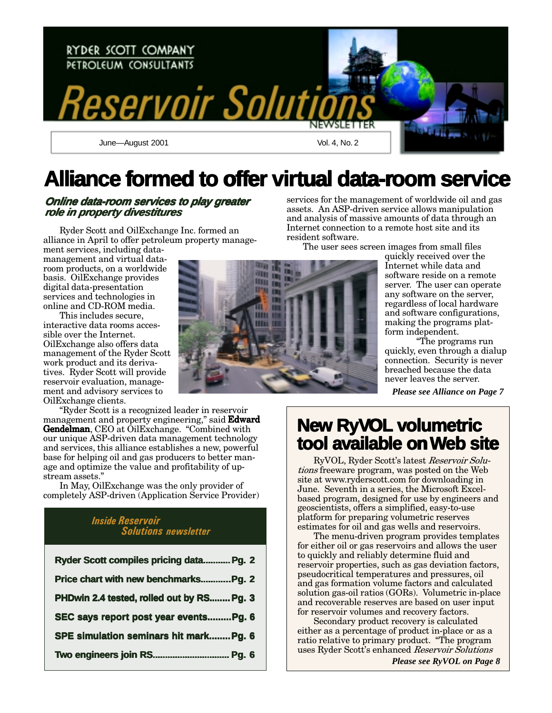

# **Alliance formed to offer virtual data-room service**

#### **Online data-room services to play greater role in property divestitures**

Ryder Scott and OilExchange Inc. formed an alliance in April to offer petroleum property manage-

ment services, including datamanagement and virtual dataroom products, on a worldwide basis. OilExchange provides digital data-presentation services and technologies in online and CD-ROM media.

This includes secure. interactive data rooms accessible over the Internet. OilExchange also offers data management of the Ryder Scott work product and its derivatives. Ryder Scott will provide reservoir evaluation, management and advisory services to OilExchange clients.

"Ryder Scott is a recognized leader in reservoir management and property engineering," said **Edward Gendelman**, CEO at OilExchange. "Combined with our unique ASP-driven data management technology and services, this alliance establishes a new, powerful base for helping oil and gas producers to better manage and optimize the value and profitability of upstream assets."

In May, OilExchange was the only provider of completely ASP-driven (Application Service Provider)

## *Inside Reservoir* EXECUTE THE SOLUTIONS NEWSLETTER

| Ryder Scott compiles pricing data Pg. 2   |
|-------------------------------------------|
| Price chart with new benchmarksPg. 2      |
| PHDwin 2.4 tested, rolled out by RS Pg. 3 |
| SEC says report post year eventsPg. 6     |
| SPE simulation seminars hit mark Pg. 6    |
| Two engineers join RS Pg. 6               |

services for the management of worldwide oil and gas assets. An ASP-driven service allows manipulation and analysis of massive amounts of data through an Internet connection to a remote host site and its resident software.

The user sees screen images from small files

quickly received over the Internet while data and software reside on a remote server. The user can operate any software on the server, regardless of local hardware and software configurations, making the programs platform independent.

"The programs run quickly, even through a dialup connection. Security is never breached because the data never leaves the server.

*Please see Alliance on Page 7*

# **New RyVOL volumetric olumetric tool available on Web site eb site**

RyVOL, Ryder Scott's latest *Reservoir Solu*tions freeware program, was posted on the Web site at www.ryderscott.com for downloading in June. Seventh in a series, the Microsoft Excelbased program, designed for use by engineers and geoscientists, offers a simplified, easy-to-use platform for preparing volumetric reserves estimates for oil and gas wells and reservoirs.

The menu-driven program provides templates for either oil or gas reservoirs and allows the user to quickly and reliably determine fluid and reservoir properties, such as gas deviation factors, pseudocritical temperatures and pressures, oil and gas formation volume factors and calculated solution gas-oil ratios (GORs). Volumetric in-place and recoverable reserves are based on user input for reservoir volumes and recovery factors.

Secondary product recovery is calculated either as a percentage of product in-place or as a ratio relative to primary product. "The program uses Ryder Scott's enhanced *Reservoir Solutions* 

*Please see RyVOL on Page 8*

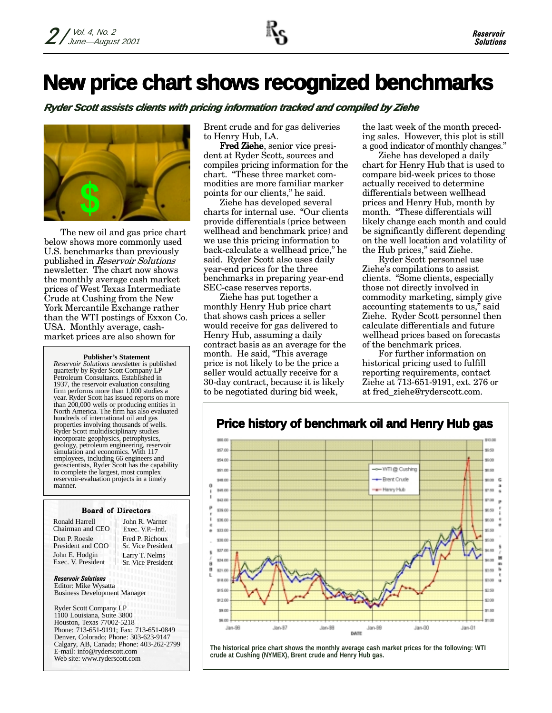# **New price chart shows recognized benchmarks**

**Ryder Scott assists clients with pricing information tracked and compiled by Ziehe** 



The new oil and gas price chart below shows more commonly used U.S. benchmarks than previously published in *Reservoir Solutions* newsletter. The chart now shows the monthly average cash market prices of West Texas Intermediate Crude at Cushing from the New York Mercantile Exchange rather than the WTI postings of Exxon Co. USA. Monthly average, cashmarket prices are also shown for

#### **Publisher's Statement**

*Reservoir Solutions* newsletter is published quarterly by Ryder Scott Company LP Petroleum Consultants. Established in 1937, the reservoir evaluation consulting firm performs more than 1,000 studies a year. Ryder Scott has issued reports on more than 200,000 wells or producing entities in North America. The firm has also evaluated hundreds of international oil and gas properties involving thousands of wells. Ryder Scott multidisciplinary studies incorporate geophysics, petrophysics, geology, petroleum engineering, reservoir simulation and economics. With 117 employees, including 66 engineers and geoscientists, Ryder Scott has the capability to complete the largest, most complex reservoir-evaluation projects in a timely manner.

#### Board of Directors

Ronald Harrell Chairman and CEO Don P. Roesle President and COO John E. Hodgin Exec. V. President

Fred P. Richoux Sr. Vice President John R. Warner Exec. V.P.–Intl. Larry T. Nelms Sr. Vice President

**Reservoir Solutions** Editor: Mike Wysatta Business Development Manager

Ryder Scott Company LP 1100 Louisiana, Suite 3800 Houston, Texas 77002-5218 Phone: 713-651-9191; Fax: 713-651-0849 Denver, Colorado; Phone: 303-623-9147 Calgary, AB, Canada; Phone: 403-262-2799 E-mail: info@ryderscott.com Web site: www.ryderscott.com

Brent crude and for gas deliveries to Henry Hub, LA.

Fred Ziehe, senior vice president at Ryder Scott, sources and compiles pricing information for the chart. "These three market commodities are more familiar marker points for our clients," he said.

Ziehe has developed several charts for internal use. "Our clients provide differentials (price between wellhead and benchmark price) and we use this pricing information to back-calculate a wellhead price," he said. Ryder Scott also uses daily year-end prices for the three benchmarks in preparing year-end SEC-case reserves reports.

Ziehe has put together a monthly Henry Hub price chart that shows cash prices a seller would receive for gas delivered to Henry Hub, assuming a daily contract basis as an average for the month. He said, "This average price is not likely to be the price a seller would actually receive for a 30-day contract, because it is likely to be negotiated during bid week,

the last week of the month preceding sales. However, this plot is still a good indicator of monthly changes."

Ziehe has developed a daily chart for Henry Hub that is used to compare bid-week prices to those actually received to determine differentials between wellhead prices and Henry Hub, month by month. "These differentials will likely change each month and could be significantly different depending on the well location and volatility of the Hub prices," said Ziehe.

Ryder Scott personnel use Ziehe's compilations to assist clients. "Some clients, especially those not directly involved in commodity marketing, simply give accounting statements to us," said Ziehe. Ryder Scott personnel then calculate differentials and future wellhead prices based on forecasts of the benchmark prices.

For further information on historical pricing used to fulfill reporting requirements, contact Ziehe at 713-651-9191, ext. 276 or at fred\_ziehe@ryderscott.com.



**The historical price chart shows the monthly average cash market prices for the following: WTI crude at Cushing (NYMEX), Brent crude and Henry Hub gas.**

## **Price history of benchmark oil and Henry Hub gas**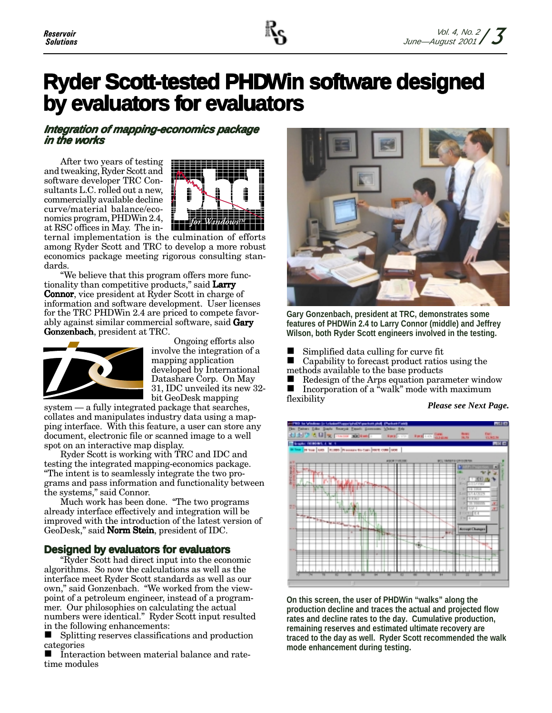# **Ryder Scott-tested PHDWin software designed by evaluators for evaluators**

### **Integration of mapping-economics package in the works**

After two years of testing and tweaking, Ryder Scott and software developer TRC Consultants L.C. rolled out a new, commercially available decline curve/material balance/economics program, PHDWin 2.4, at RSC offices in May. The in-



ternal implementation is the culmination of efforts among Ryder Scott and TRC to develop a more robust economics package meeting rigorous consulting standards.

"We believe that this program offers more functionality than competitive products," said Larry **Connor**, vice president at Ryder Scott in charge of information and software development. User licenses for the TRC PHDWin 2.4 are priced to compete favorably against similar commercial software, said **Gary Gonzenbach**, president at TRC.



Ongoing efforts also involve the integration of a mapping application developed by International Datashare Corp. On May  $31, \mathrm{IDC}$  unveiled its new  $32$ bit GeoDesk mapping

system — a fully integrated package that searches, collates and manipulates industry data using a mapping interface. With this feature, a user can store any document, electronic file or scanned image to a well spot on an interactive map display.

Ryder Scott is working with TRC and IDC and testing the integrated mapping-economics package. "The intent is to seamlessly integrate the two programs and pass information and functionality between the systems," said Connor.

Much work has been done. "The two programs already interface effectively and integration will be improved with the introduction of the latest version of GeoDesk," said **Norm Stein**, president of IDC.

## **Designed by evaluators for evaluators**

"Ryder Scott had direct input into the economic algorithms. So now the calculations as well as the interface meet Ryder Scott standards as well as our own," said Gonzenbach. "We worked from the viewpoint of a petroleum engineer, instead of a programmer. Our philosophies on calculating the actual numbers were identical." Ryder Scott input resulted in the following enhancements:

■ Splitting reserves classifications and production categories

■ Interaction between material balance and rate $time$  modules



**Gary Gonzenbach, president at TRC, demonstrates some features of PHDWin 2.4 to Larry Connor (middle) and Jeffrey Wilson, both Ryder Scott engineers involved in the testing.**

Simplified data culling for curve fit

 $\Box$  Simplified data canning for carve in methods available to the base products

 $\blacksquare$  Redesign of the Arps equation parameter window  $\blacksquare$  Incorporation of a "walk" mode with maximum flexibility

*Please see Next Page.*



**On this screen, the user of PHDWin "walks" along the production decline and traces the actual and projected flow rates and decline rates to the day. Cumulative production, remaining reserves and estimated ultimate recovery are traced to the day as well. Ryder Scott recommended the walk mode enhancement during testing.**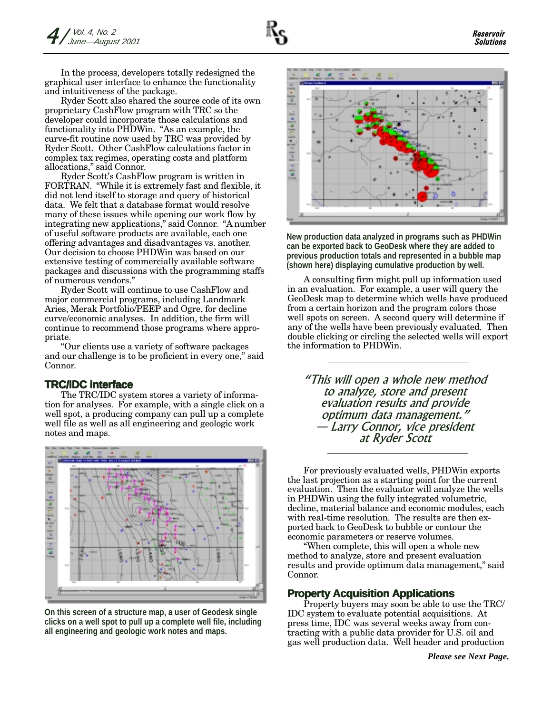In the process, developers totally redesigned the graphical user interface to enhance the functionality and intuitiveness of the package.

Ryder Scott also shared the source code of its own proprietary CashFlow program with TRC so the developer could incorporate those calculations and functionality into PHDWin. "As an example, the curve-fit routine now used by TRC was provided by Ryder Scott. Other CashFlow calculations factor in complex tax regimes, operating costs and platform allocations," said Connor.

Ryder Scott's CashFlow program is written in FORTRAN. "While it is extremely fast and flexible, it did not lend itself to storage and query of historical data. We felt that a database format would resolve many of these issues while opening our work flow by integrating new applications," said Connor. "A number of useful software products are available, each one offering advantages and disadvantages vs. another. Our decision to choose PHDWin was based on our extensive testing of commercially available software packages and discussions with the programming staffs of numerous vendors."

Ryder Scott will continue to use CashFlow and major commercial programs, including Landmark Aries, Merak Portfolio/PEEP and Ogre, for decline curve/economic analyses. In addition, the firm will continue to recommend those programs where appropriate.

"Our clients use a variety of software packages and our challenge is to be proficient in every one," said Connor.

#### **TRC/IDC interface**

The TRC/IDC system stores a variety of information for analyses. For example, with a single click on a well spot, a producing company can pull up a complete well file as well as all engineering and geologic work notes and maps.







**New production data analyzed in programs such as PHDWin can be exported back to GeoDesk where they are added to previous production totals and represented in a bubble map (shown here) displaying cumulative production by well.**

A consulting firm might pull up information used in an evaluation. For example, a user will query the GeoDesk map to determine which wells have produced from a certain horizon and the program colors those well spots on screen. A second query will determine if any of the wells have been previously evaluated. Then double clicking or circling the selected wells will export the information to PHDWin.

"This will open a whole new method to analyze, store and present evaluation results and provide optimum data management." - Larry Connor, vice president at Ryder Scott

For previously evaluated wells, PHDWin exports the last projection as a starting point for the current evaluation. Then the evaluator will analyze the wells in PHDWin using the fully integrated volumetric, decline, material balance and economic modules, each with real-time resolution. The results are then exported back to GeoDesk to bubble or contour the economic parameters or reserve volumes.

"When complete, this will open a whole new method to analyze, store and present evaluation results and provide optimum data management," said Connor.

#### **Property Acquisition Applications**

Property buyers may soon be able to use the TRC/ IDC system to evaluate potential acquisitions. At press time, IDC was several weeks away from contracting with a public data provider for U.S. oil and gas well production data. Well header and production

*Please see Next Page.*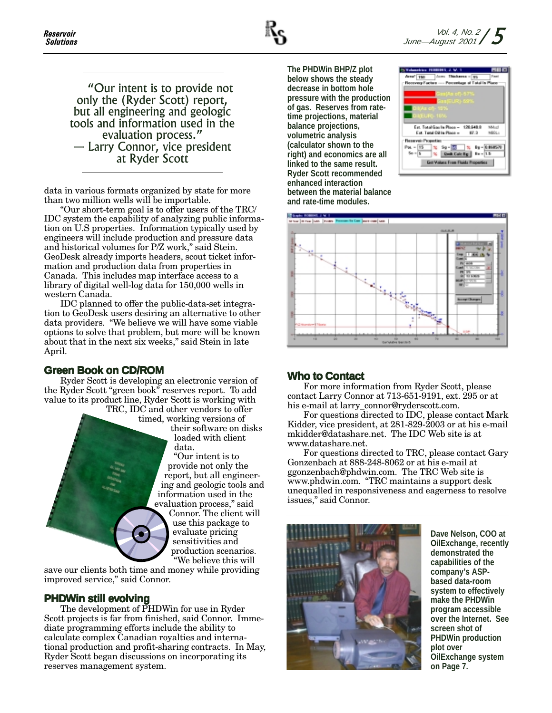"Our intent is to provide not only the (Ryder Scott) report, but all engineering and geologic tools and information used in the evaluation process." — Larry Connor, vice president at Ryder Scott

data in various formats organized by state for more than two million wells will be importable.

"Our short-term goal is to offer users of the TRC/ IDC system the capability of analyzing public information on U.S properties. Information typically used by engineers will include production and pressure data and historical volumes for P/Z work," said Stein. GeoDesk already imports headers, scout ticket information and production data from properties in Canada. This includes map interface access to a library of digital well-log data for 150,000 wells in western Canada.

IDC planned to offer the public-data-set integration to GeoDesk users desiring an alternative to other data providers. "We believe we will have some viable options to solve that problem, but more will be known about that in the next six weeks," said Stein in late April.

### **Green Book on CD/ROM**

Ryder Scott is developing an electronic version of the Ryder Scott "green book" reserves report. To add value to its product line, Ryder Scott is working with

TRC, IDC and other vendors to offer timed, working versions of their software on disks loaded with client data. "Our intent is to provide not only the report, but all engineering and geologic tools and information used in the evaluation process," said Connor. The client will use this package to evaluate pricing sensitivities and production scenarios. "We believe this will

save our clients both time and money while providing improved service," said Connor.

### **PHDWin still evolving**

The development of PHDWin for use in Ryder Scott projects is far from finished, said Connor. Immediate programming efforts include the ability to calculate complex Canadian royalties and international production and profit-sharing contracts. In May, Ryder Scott began discussions on incorporating its reserves management system.

**The PHDWin BHP/Z plot below shows the steady decrease in bottom hole pressure with the production of gas. Reserves from ratetime projections, material balance projections, volumetric analysis (calculator shown to the right) and economics are all linked to the same result. Ryder Scott recommended enhanced interaction between the material balance and rate-time modules.**





#### **Who to Contact Who to**

For more information from Ryder Scott, please contact Larry Connor at 713-651-9191, ext. 295 or at his e-mail at larry\_connor@ryderscott.com.

For questions directed to IDC, please contact Mark Kidder, vice president, at 281-829-2003 or at his e-mail mkidder@datashare.net. The IDC Web site is at www.datashare.net.

For questions directed to TRC, please contact Gary Gonzenbach at 888-248-8062 or at his e-mail at ggonzenbach@phdwin.com. The TRC Web site is www.phdwin.com. "TRC maintains a support desk unequalled in responsiveness and eagerness to resolve issues," said Connor.



**Dave Nelson, COO at OilExchange, recently demonstrated the capabilities of the company's ASPbased data-room system to effectively make the PHDWin program accessible over the Internet. See screen shot of PHDWin production plot over OilExchange system on Page 7.**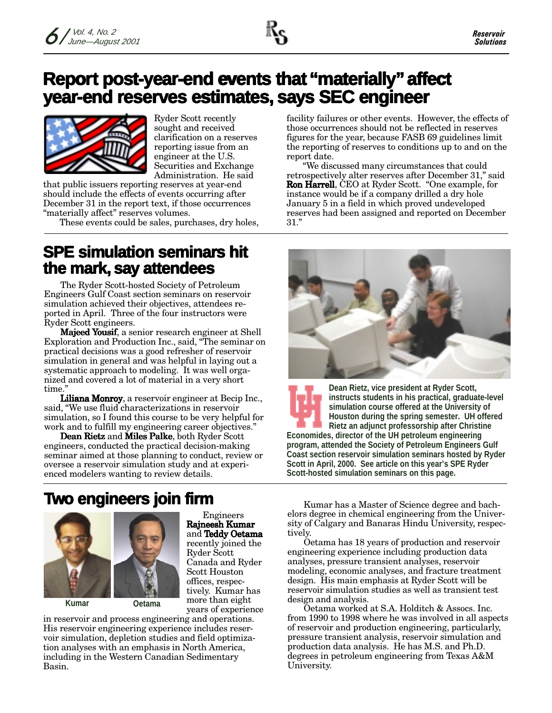# **Report post-year-end events that "materially" affect year-end reser -end reserves estimates, ves estimates, estimates, says SEC engineer ys SEC engineer**



Ryder Scott recently sought and received clarification on a reserves reporting issue from an engineer at the U.S. Securities and Exchange Administration. He said

that public issuers reporting reserves at year-end should include the effects of events occurring after December 31 in the report text, if those occurrences "materially affect" reserves volumes.

These events could be sales, purchases, dry holes,

## **SPE simulation seminars hit the mark, say attendees**

The Ryder Scott-hosted Society of Petroleum Engineers Gulf Coast section seminars on reservoir simulation achieved their objectives, attendees reported in April. Three of the four instructors were Ryder Scott engineers.

**Majeed Yousif**, a senior research engineer at Shell Exploration and Production Inc., said, "The seminar on practical decisions was a good refresher of reservoir simulation in general and was helpful in laying out a systematic approach to modeling. It was well organized and covered a lot of material in a very short  $time."$ 

Liliana Monroy, a reservoir engineer at Becip Inc., said, "We use fluid characterizations in reservoir simulation, so I found this course to be very helpful for work and to fulfill my engineering career objectives."

Dean Rietz and Miles Palke, both Ryder Scott engineers, conducted the practical decision-making seminar aimed at those planning to conduct, review or oversee a reservoir simulation study and at experienced modelers wanting to review details.

facility failures or other events. However, the effects of those occurrences should not be reflected in reserves figures for the year, because FASB 69 guidelines limit the reporting of reserves to conditions up to and on the report date.

We discussed many circumstances that could retrospectively alter reserves after December 31," said **Ron Harrell**, CEO at Ryder Scott. "One example, for instance would be if a company drilled a dry hole January 5 in a field in which proved undeveloped reserves had been assigned and reported on December  $31.$ "



**Dean Rietz, vice president at Ryder Scott, instructs students in his practical, graduate-level simulation course offered at the University of Houston during the spring semester. UH offered Rietz an adjunct professorship after Christine Economides, director of the UH petroleum engineering program, attended the Society of Petroleum Engineers Gulf Coast section reservoir simulation seminars hosted by Ryder Scott in April, 2000. See article on this year's SPE Ryder Scott-hosted simulation seminars on this page.**

# **Two engineers join firm**



**Kumar Oetama**

Engineers Rajneesh Kumar and **Teddy Oetama** recently joined the Ryder Scott Canada and Ryder Scott Houston offices, respectively. Kumar has more than eight years of experience

in reservoir and process engineering and operations. His reservoir engineering experience includes reservoir simulation, depletion studies and field optimization analyses with an emphasis in North America, including in the Western Canadian Sedimentary Basin.

Kumar has a Master of Science degree and bachelors degree in chemical engineering from the University of Calgary and Banaras Hindu University, respectively.

Oetama has 18 years of production and reservoir engineering experience including production data analyses, pressure transient analyses, reservoir modeling, economic analyses, and fracture treatment design. His main emphasis at Ryder Scott will be reservoir simulation studies as well as transient test design and analysis.

Oetama worked at S.A. Holditch & Assocs. Inc. from 1990 to 1998 where he was involved in all aspects of reservoir and production engineering, particularly, pressure transient analysis, reservoir simulation and production data analysis. He has M.S. and Ph.D. degrees in petroleum engineering from Texas A&M University.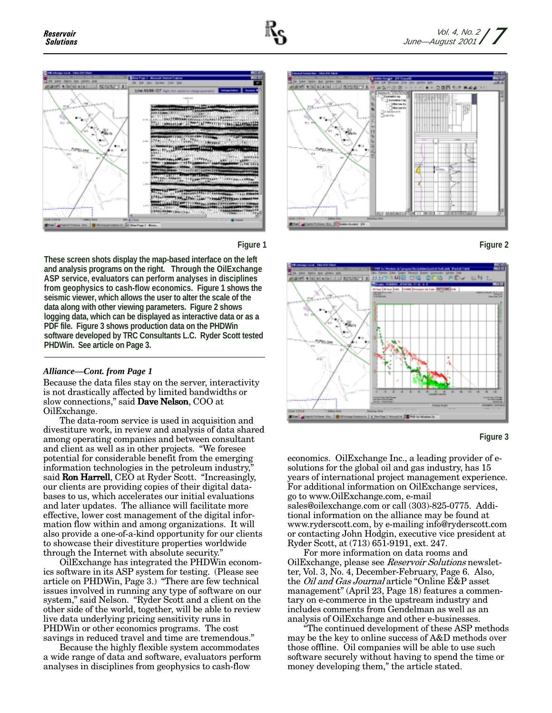





**These screen shots display the map-based interface on the left and analysis programs on the right. Through the OilExchange ASP service, evaluators can perform analyses in disciplines from geophysics to cash-flow economics. Figure 1 shows the seismic viewer, which allows the user to alter the scale of the data along with other viewing parameters. Figure 2 shows logging data, which can be displayed as interactive data or as a PDF file. Figure 3 shows production data on the PHDWin software developed by TRC Consultants L.C. Ryder Scott tested PHDWin. See article on Page 3.**

#### *Alliance—Cont. from Page 1*

Because the data files stay on the server, interactivity is not drastically affected by limited bandwidths or slow connections," said **Dave Nelson**, COO at OilExchange.

The data-room service is used in acquisition and divestiture work, in review and analysis of data shared among operating companies and between consultant and client as well as in other projects. "We foresee potential for considerable benefit from the emerging information technologies in the petroleum industry," said **Ron Harrell**, CEO at Ryder Scott. "Increasingly, our clients are providing copies of their digital databases to us, which accelerates our initial evaluations and later updates. The alliance will facilitate more effective, lower cost management of the digital information flow within and among organizations. It will also provide a one-of-a-kind opportunity for our clients to showcase their divestiture properties worldwide through the Internet with absolute security."

OilExchange has integrated the PHDWin economics software in its ASP system for testing. (Please see article on PHDWin, Page 3.) "There are few technical issues involved in running any type of software on our system," said Nelson. "Ryder Scott and a client on the other side of the world, together, will be able to review live data underlying pricing sensitivity runs in PHDWin or other economics programs. The cost savings in reduced travel and time are tremendous."

Because the highly flexible system accommodates a wide range of data and software, evaluators perform analyses in disciplines from geophysics to cash-flow









economics. Oil Exchange Inc., a leading provider of esolutions for the global oil and gas industry, has 15 years of international project management experience. For additional information on OilExchange services, go to www.OilExchange.com, e-mail sales@oilexchange.com or call (303)-825-0775. Additional information on the alliance may be found at www.ryderscott.com, by e-mailing info@ryderscott.com or contacting John Hodgin, executive vice president at Ryder Scott, at (713) 651-9191, ext. 247.

For more information on data rooms and OilExchange, please see Reservoir Solutions newsletter, Vol. 3, No. 4, December-February, Page 6. Also, the *Oil and Gas Journal* article "Online E&P asset management" (April 23, Page 18) features a commentary on e-commerce in the upstream industry and includes comments from Gendelman as well as an analysis of OilExchange and other e-businesses.

"The continued development of these ASP methods may be the key to online success of A&D methods over those offline. Oil companies will be able to use such software securely without having to spend the time or money developing them," the article stated.